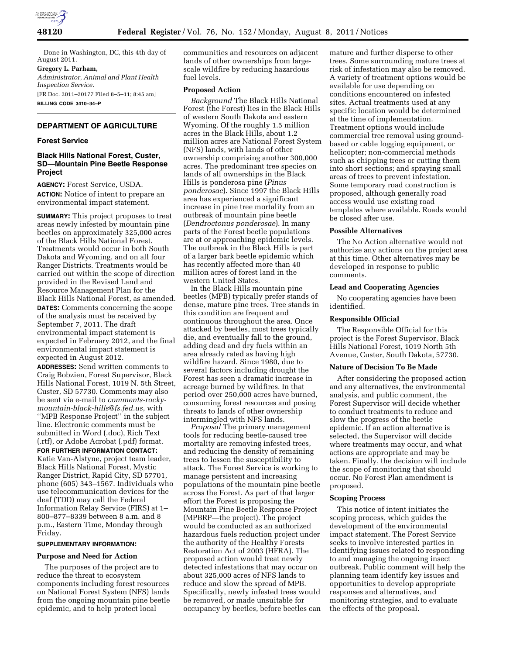

Done in Washington, DC, this 4th day of August 2011.

## **Gregory L. Parham,**

*Administrator, Animal and Plant Health Inspection Service.*  [FR Doc. 2011–20177 Filed 8–5–11; 8:45 am]

**BILLING CODE 3410–34–P** 

## **DEPARTMENT OF AGRICULTURE**

## **Forest Service**

# **Black Hills National Forest, Custer, SD—Mountain Pine Beetle Response Project**

**AGENCY:** Forest Service, USDA. **ACTION:** Notice of intent to prepare an environmental impact statement.

**SUMMARY:** This project proposes to treat areas newly infested by mountain pine beetles on approximately 325,000 acres of the Black Hills National Forest. Treatments would occur in both South Dakota and Wyoming, and on all four Ranger Districts. Treatments would be carried out within the scope of direction provided in the Revised Land and Resource Management Plan for the Black Hills National Forest, as amended. **DATES:** Comments concerning the scope of the analysis must be received by September 7, 2011. The draft environmental impact statement is expected in February 2012, and the final environmental impact statement is expected in August 2012.

**ADDRESSES:** Send written comments to Craig Bobzien, Forest Supervisor, Black Hills National Forest, 1019 N. 5th Street, Custer, SD 57730. Comments may also be sent via e-mail to *[comments-rocky](mailto:comments-rocky-mountain-black-hills@fs.fed.us)[mountain-black-hills@fs.fed.us,](mailto:comments-rocky-mountain-black-hills@fs.fed.us)* with ''MPB Response Project'' in the subject line. Electronic comments must be submitted in Word (.doc), Rich Text (.rtf), or Adobe Acrobat (.pdf) format.

**FOR FURTHER INFORMATION CONTACT:**  Katie Van-Alstyne, project team leader, Black Hills National Forest, Mystic Ranger District, Rapid City, SD 57701, phone (605) 343–1567. Individuals who use telecommunication devices for the deaf (TDD) may call the Federal Information Relay Service (FIRS) at 1– 800–877–8339 between 8 a.m. and 8 p.m., Eastern Time, Monday through Friday.

## **SUPPLEMENTARY INFORMATION:**

#### **Purpose and Need for Action**

The purposes of the project are to reduce the threat to ecosystem components including forest resources on National Forest System (NFS) lands from the ongoing mountain pine beetle epidemic, and to help protect local

communities and resources on adjacent lands of other ownerships from largescale wildfire by reducing hazardous fuel levels.

# **Proposed Action**

*Background* The Black Hills National Forest (the Forest) lies in the Black Hills of western South Dakota and eastern Wyoming. Of the roughly 1.5 million acres in the Black Hills, about 1.2 million acres are National Forest System (NFS) lands, with lands of other ownership comprising another 300,000 acres. The predominant tree species on lands of all ownerships in the Black Hills is ponderosa pine (*Pinus ponderosae*). Since 1997 the Black Hills area has experienced a significant increase in pine tree mortality from an outbreak of mountain pine beetle (*Dendroctonus ponderosae*). In many parts of the Forest beetle populations are at or approaching epidemic levels. The outbreak in the Black Hills is part of a larger bark beetle epidemic which has recently affected more than 40 million acres of forest land in the western United States.

In the Black Hills mountain pine beetles (MPB) typically prefer stands of dense, mature pine trees. Tree stands in this condition are frequent and continuous throughout the area. Once attacked by beetles, most trees typically die, and eventually fall to the ground, adding dead and dry fuels within an area already rated as having high wildfire hazard. Since 1980, due to several factors including drought the Forest has seen a dramatic increase in acreage burned by wildfires. In that period over 250,000 acres have burned, consuming forest resources and posing threats to lands of other ownership intermingled with NFS lands.

*Proposal* The primary management tools for reducing beetle-caused tree mortality are removing infested trees, and reducing the density of remaining trees to lessen the susceptibility to attack. The Forest Service is working to manage persistent and increasing populations of the mountain pine beetle across the Forest. As part of that larger effort the Forest is proposing the Mountain Pine Beetle Response Project (MPBRP—the project). The project would be conducted as an authorized hazardous fuels reduction project under the authority of the Healthy Forests Restoration Act of 2003 (HFRA). The proposed action would treat newly detected infestations that may occur on about 325,000 acres of NFS lands to reduce and slow the spread of MPB. Specifically, newly infested trees would be removed, or made unsuitable for occupancy by beetles, before beetles can mature and further disperse to other trees. Some surrounding mature trees at risk of infestation may also be removed. A variety of treatment options would be available for use depending on conditions encountered on infested sites. Actual treatments used at any specific location would be determined at the time of implementation. Treatment options would include commercial tree removal using groundbased or cable logging equipment, or helicopter; non-commercial methods such as chipping trees or cutting them into short sections; and spraying small areas of trees to prevent infestation. Some temporary road construction is proposed, although generally road access would use existing road templates where available. Roads would be closed after use.

### **Possible Alternatives**

The No Action alternative would not authorize any actions on the project area at this time. Other alternatives may be developed in response to public comments.

#### **Lead and Cooperating Agencies**

No cooperating agencies have been identified.

### **Responsible Official**

The Responsible Official for this project is the Forest Supervisor, Black Hills National Forest, 1019 North 5th Avenue, Custer, South Dakota, 57730.

# **Nature of Decision To Be Made**

After considering the proposed action and any alternatives, the environmental analysis, and public comment, the Forest Supervisor will decide whether to conduct treatments to reduce and slow the progress of the beetle epidemic. If an action alternative is selected, the Supervisor will decide where treatments may occur, and what actions are appropriate and may be taken. Finally, the decision will include the scope of monitoring that should occur. No Forest Plan amendment is proposed.

## **Scoping Process**

This notice of intent initiates the scoping process, which guides the development of the environmental impact statement. The Forest Service seeks to involve interested parties in identifying issues related to responding to and managing the ongoing insect outbreak. Public comment will help the planning team identify key issues and opportunities to develop appropriate responses and alternatives, and monitoring strategies, and to evaluate the effects of the proposal.